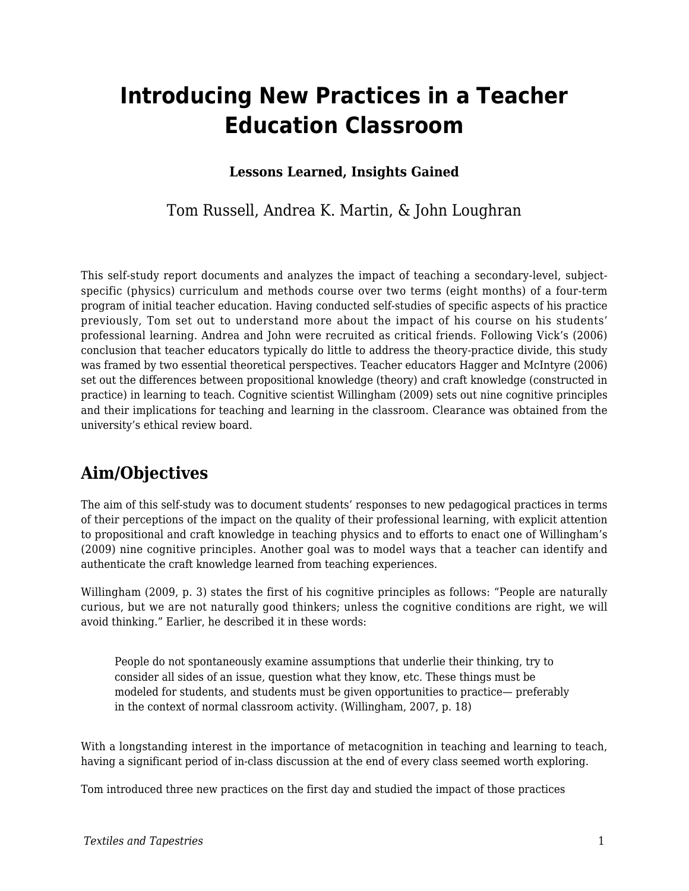# **Introducing New Practices in a Teacher Education Classroom**

### **Lessons Learned, Insights Gained**

### Tom Russell, Andrea K. Martin, & John Loughran

This self-study report documents and analyzes the impact of teaching a secondary-level, subjectspecific (physics) curriculum and methods course over two terms (eight months) of a four-term program of initial teacher education. Having conducted self-studies of specific aspects of his practice previously, Tom set out to understand more about the impact of his course on his students' professional learning. Andrea and John were recruited as critical friends. Following Vick's (2006) conclusion that teacher educators typically do little to address the theory-practice divide, this study was framed by two essential theoretical perspectives. Teacher educators Hagger and McIntyre (2006) set out the differences between propositional knowledge (theory) and craft knowledge (constructed in practice) in learning to teach. Cognitive scientist Willingham (2009) sets out nine cognitive principles and their implications for teaching and learning in the classroom. Clearance was obtained from the university's ethical review board.

# **Aim/Objectives**

The aim of this self-study was to document students' responses to new pedagogical practices in terms of their perceptions of the impact on the quality of their professional learning, with explicit attention to propositional and craft knowledge in teaching physics and to efforts to enact one of Willingham's (2009) nine cognitive principles. Another goal was to model ways that a teacher can identify and authenticate the craft knowledge learned from teaching experiences.

Willingham (2009, p. 3) states the first of his cognitive principles as follows: "People are naturally curious, but we are not naturally good thinkers; unless the cognitive conditions are right, we will avoid thinking." Earlier, he described it in these words:

People do not spontaneously examine assumptions that underlie their thinking, try to consider all sides of an issue, question what they know, etc. These things must be modeled for students, and students must be given opportunities to practice— preferably in the context of normal classroom activity. (Willingham, 2007, p. 18)

With a longstanding interest in the importance of metacognition in teaching and learning to teach, having a significant period of in-class discussion at the end of every class seemed worth exploring.

Tom introduced three new practices on the first day and studied the impact of those practices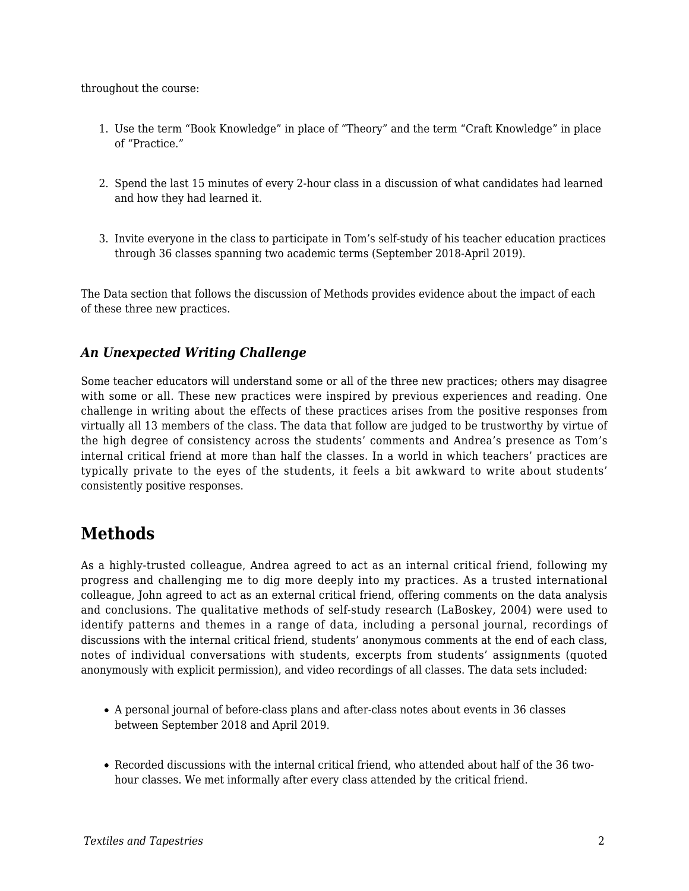throughout the course:

- 1. Use the term "Book Knowledge" in place of "Theory" and the term "Craft Knowledge" in place of "Practice."
- 2. Spend the last 15 minutes of every 2-hour class in a discussion of what candidates had learned and how they had learned it.
- 3. Invite everyone in the class to participate in Tom's self-study of his teacher education practices through 36 classes spanning two academic terms (September 2018-April 2019).

The Data section that follows the discussion of Methods provides evidence about the impact of each of these three new practices.

### *An Unexpected Writing Challenge*

Some teacher educators will understand some or all of the three new practices; others may disagree with some or all. These new practices were inspired by previous experiences and reading. One challenge in writing about the effects of these practices arises from the positive responses from virtually all 13 members of the class. The data that follow are judged to be trustworthy by virtue of the high degree of consistency across the students' comments and Andrea's presence as Tom's internal critical friend at more than half the classes. In a world in which teachers' practices are typically private to the eyes of the students, it feels a bit awkward to write about students' consistently positive responses.

## **Methods**

As a highly-trusted colleague, Andrea agreed to act as an internal critical friend, following my progress and challenging me to dig more deeply into my practices. As a trusted international colleague, John agreed to act as an external critical friend, offering comments on the data analysis and conclusions. The qualitative methods of self-study research (LaBoskey, 2004) were used to identify patterns and themes in a range of data, including a personal journal, recordings of discussions with the internal critical friend, students' anonymous comments at the end of each class, notes of individual conversations with students, excerpts from students' assignments (quoted anonymously with explicit permission), and video recordings of all classes. The data sets included:

- A personal journal of before-class plans and after-class notes about events in 36 classes between September 2018 and April 2019.
- Recorded discussions with the internal critical friend, who attended about half of the 36 twohour classes. We met informally after every class attended by the critical friend.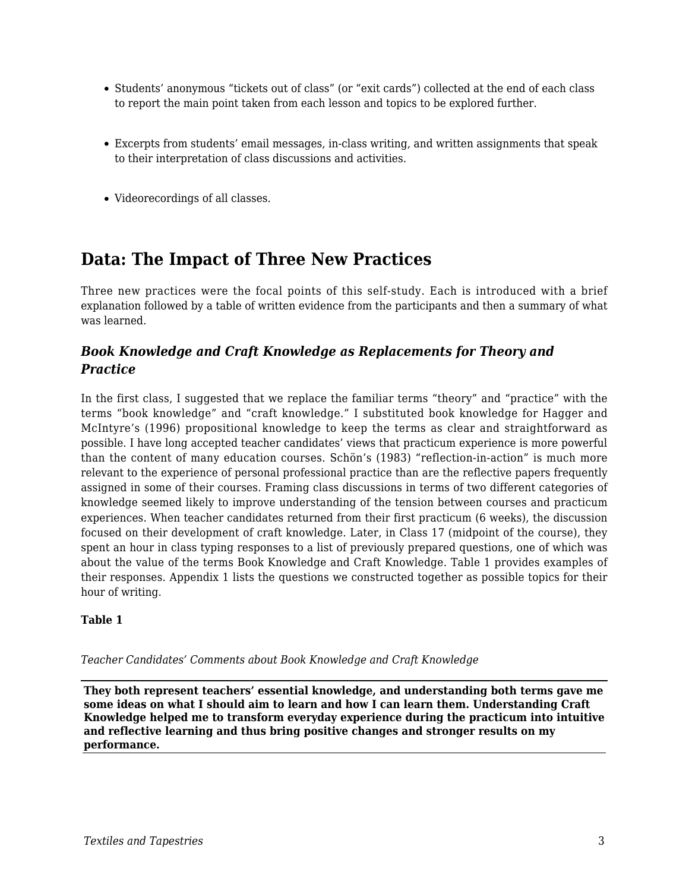- Students' anonymous "tickets out of class" (or "exit cards") collected at the end of each class to report the main point taken from each lesson and topics to be explored further.
- Excerpts from students' email messages, in-class writing, and written assignments that speak to their interpretation of class discussions and activities.
- Videorecordings of all classes.

# **Data: The Impact of Three New Practices**

Three new practices were the focal points of this self-study. Each is introduced with a brief explanation followed by a table of written evidence from the participants and then a summary of what was learned.

### *Book Knowledge and Craft Knowledge as Replacements for Theory and Practice*

In the first class, I suggested that we replace the familiar terms "theory" and "practice" with the terms "book knowledge" and "craft knowledge." I substituted book knowledge for Hagger and McIntyre's (1996) propositional knowledge to keep the terms as clear and straightforward as possible. I have long accepted teacher candidates' views that practicum experience is more powerful than the content of many education courses. Schön's (1983) "reflection-in-action" is much more relevant to the experience of personal professional practice than are the reflective papers frequently assigned in some of their courses. Framing class discussions in terms of two different categories of knowledge seemed likely to improve understanding of the tension between courses and practicum experiences. When teacher candidates returned from their first practicum (6 weeks), the discussion focused on their development of craft knowledge. Later, in Class 17 (midpoint of the course), they spent an hour in class typing responses to a list of previously prepared questions, one of which was about the value of the terms Book Knowledge and Craft Knowledge. Table 1 provides examples of their responses. Appendix 1 lists the questions we constructed together as possible topics for their hour of writing.

#### **Table 1**

*Teacher Candidates' Comments about Book Knowledge and Craft Knowledge*

**They both represent teachers' essential knowledge, and understanding both terms gave me some ideas on what I should aim to learn and how I can learn them. Understanding Craft Knowledge helped me to transform everyday experience during the practicum into intuitive and reflective learning and thus bring positive changes and stronger results on my performance.**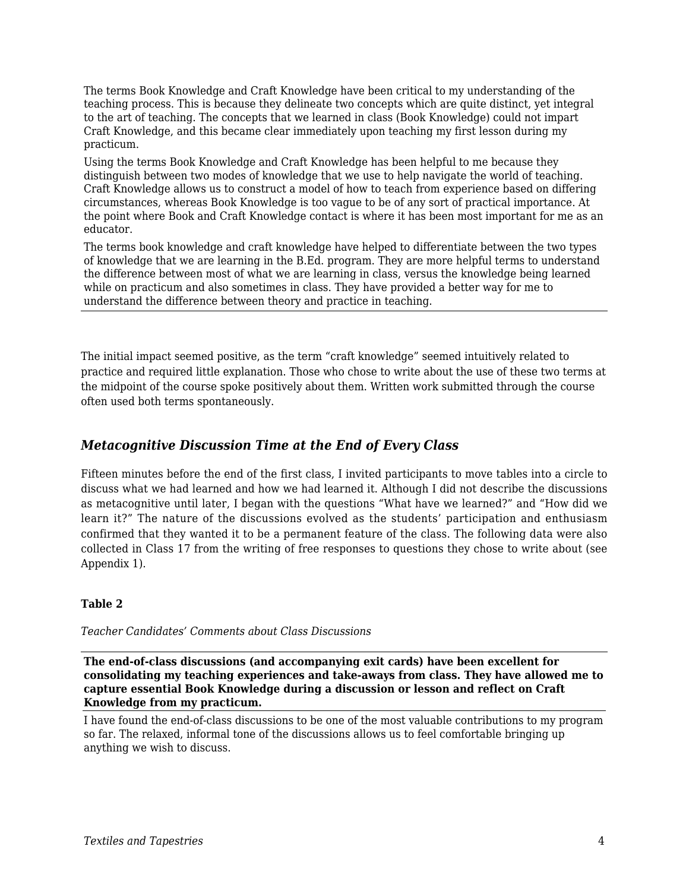The terms Book Knowledge and Craft Knowledge have been critical to my understanding of the teaching process. This is because they delineate two concepts which are quite distinct, yet integral to the art of teaching. The concepts that we learned in class (Book Knowledge) could not impart Craft Knowledge, and this became clear immediately upon teaching my first lesson during my practicum.

Using the terms Book Knowledge and Craft Knowledge has been helpful to me because they distinguish between two modes of knowledge that we use to help navigate the world of teaching. Craft Knowledge allows us to construct a model of how to teach from experience based on differing circumstances, whereas Book Knowledge is too vague to be of any sort of practical importance. At the point where Book and Craft Knowledge contact is where it has been most important for me as an educator.

The terms book knowledge and craft knowledge have helped to differentiate between the two types of knowledge that we are learning in the B.Ed. program. They are more helpful terms to understand the difference between most of what we are learning in class, versus the knowledge being learned while on practicum and also sometimes in class. They have provided a better way for me to understand the difference between theory and practice in teaching.

The initial impact seemed positive, as the term "craft knowledge" seemed intuitively related to practice and required little explanation. Those who chose to write about the use of these two terms at the midpoint of the course spoke positively about them. Written work submitted through the course often used both terms spontaneously.

#### *Metacognitive Discussion Time at the End of Every Class*

Fifteen minutes before the end of the first class, I invited participants to move tables into a circle to discuss what we had learned and how we had learned it. Although I did not describe the discussions as metacognitive until later, I began with the questions "What have we learned?" and "How did we learn it?" The nature of the discussions evolved as the students' participation and enthusiasm confirmed that they wanted it to be a permanent feature of the class. The following data were also collected in Class 17 from the writing of free responses to questions they chose to write about (see Appendix 1).

#### **Table 2**

*Teacher Candidates' Comments about Class Discussions*

**The end-of-class discussions (and accompanying exit cards) have been excellent for consolidating my teaching experiences and take-aways from class. They have allowed me to capture essential Book Knowledge during a discussion or lesson and reflect on Craft Knowledge from my practicum.**

I have found the end-of-class discussions to be one of the most valuable contributions to my program so far. The relaxed, informal tone of the discussions allows us to feel comfortable bringing up anything we wish to discuss.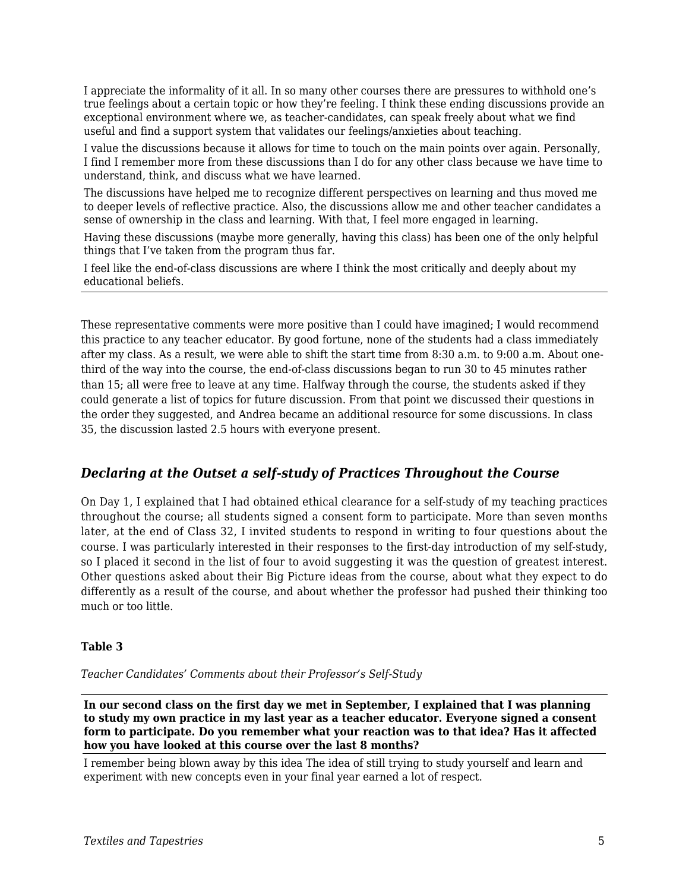I appreciate the informality of it all. In so many other courses there are pressures to withhold one's true feelings about a certain topic or how they're feeling. I think these ending discussions provide an exceptional environment where we, as teacher-candidates, can speak freely about what we find useful and find a support system that validates our feelings/anxieties about teaching.

I value the discussions because it allows for time to touch on the main points over again. Personally, I find I remember more from these discussions than I do for any other class because we have time to understand, think, and discuss what we have learned.

The discussions have helped me to recognize different perspectives on learning and thus moved me to deeper levels of reflective practice. Also, the discussions allow me and other teacher candidates a sense of ownership in the class and learning. With that, I feel more engaged in learning.

Having these discussions (maybe more generally, having this class) has been one of the only helpful things that I've taken from the program thus far.

I feel like the end-of-class discussions are where I think the most critically and deeply about my educational beliefs.

These representative comments were more positive than I could have imagined; I would recommend this practice to any teacher educator. By good fortune, none of the students had a class immediately after my class. As a result, we were able to shift the start time from 8:30 a.m. to 9:00 a.m. About onethird of the way into the course, the end-of-class discussions began to run 30 to 45 minutes rather than 15; all were free to leave at any time. Halfway through the course, the students asked if they could generate a list of topics for future discussion. From that point we discussed their questions in the order they suggested, and Andrea became an additional resource for some discussions. In class 35, the discussion lasted 2.5 hours with everyone present.

#### *Declaring at the Outset a self-study of Practices Throughout the Course*

On Day 1, I explained that I had obtained ethical clearance for a self-study of my teaching practices throughout the course; all students signed a consent form to participate. More than seven months later, at the end of Class 32, I invited students to respond in writing to four questions about the course. I was particularly interested in their responses to the first-day introduction of my self-study, so I placed it second in the list of four to avoid suggesting it was the question of greatest interest. Other questions asked about their Big Picture ideas from the course, about what they expect to do differently as a result of the course, and about whether the professor had pushed their thinking too much or too little.

#### **Table 3**

*Teacher Candidates' Comments about their Professor's Self-Study*

**In our second class on the first day we met in September, I explained that I was planning to study my own practice in my last year as a teacher educator. Everyone signed a consent form to participate. Do you remember what your reaction was to that idea? Has it affected how you have looked at this course over the last 8 months?**

I remember being blown away by this idea The idea of still trying to study yourself and learn and experiment with new concepts even in your final year earned a lot of respect.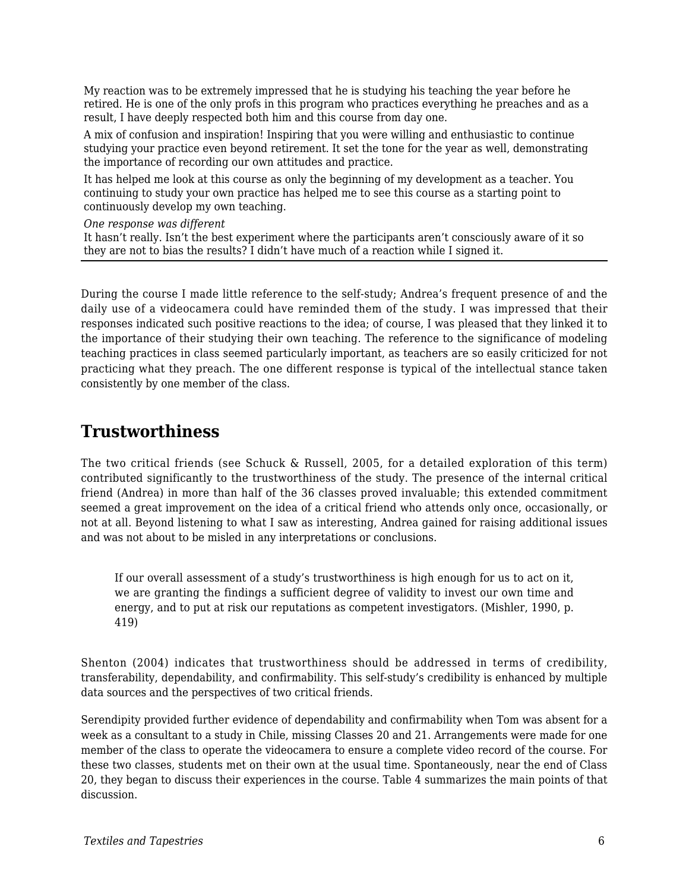My reaction was to be extremely impressed that he is studying his teaching the year before he retired. He is one of the only profs in this program who practices everything he preaches and as a result, I have deeply respected both him and this course from day one.

A mix of confusion and inspiration! Inspiring that you were willing and enthusiastic to continue studying your practice even beyond retirement. It set the tone for the year as well, demonstrating the importance of recording our own attitudes and practice.

It has helped me look at this course as only the beginning of my development as a teacher. You continuing to study your own practice has helped me to see this course as a starting point to continuously develop my own teaching.

*One response was different*

It hasn't really. Isn't the best experiment where the participants aren't consciously aware of it so they are not to bias the results? I didn't have much of a reaction while I signed it.

During the course I made little reference to the self-study; Andrea's frequent presence of and the daily use of a videocamera could have reminded them of the study. I was impressed that their responses indicated such positive reactions to the idea; of course, I was pleased that they linked it to the importance of their studying their own teaching. The reference to the significance of modeling teaching practices in class seemed particularly important, as teachers are so easily criticized for not practicing what they preach. The one different response is typical of the intellectual stance taken consistently by one member of the class.

### **Trustworthiness**

The two critical friends (see Schuck & Russell, 2005, for a detailed exploration of this term) contributed significantly to the trustworthiness of the study. The presence of the internal critical friend (Andrea) in more than half of the 36 classes proved invaluable; this extended commitment seemed a great improvement on the idea of a critical friend who attends only once, occasionally, or not at all. Beyond listening to what I saw as interesting, Andrea gained for raising additional issues and was not about to be misled in any interpretations or conclusions.

If our overall assessment of a study's trustworthiness is high enough for us to act on it, we are granting the findings a sufficient degree of validity to invest our own time and energy, and to put at risk our reputations as competent investigators. (Mishler, 1990, p. 419)

Shenton (2004) indicates that trustworthiness should be addressed in terms of credibility, transferability, dependability, and confirmability. This self-study's credibility is enhanced by multiple data sources and the perspectives of two critical friends.

Serendipity provided further evidence of dependability and confirmability when Tom was absent for a week as a consultant to a study in Chile, missing Classes 20 and 21. Arrangements were made for one member of the class to operate the videocamera to ensure a complete video record of the course. For these two classes, students met on their own at the usual time. Spontaneously, near the end of Class 20, they began to discuss their experiences in the course. Table 4 summarizes the main points of that discussion.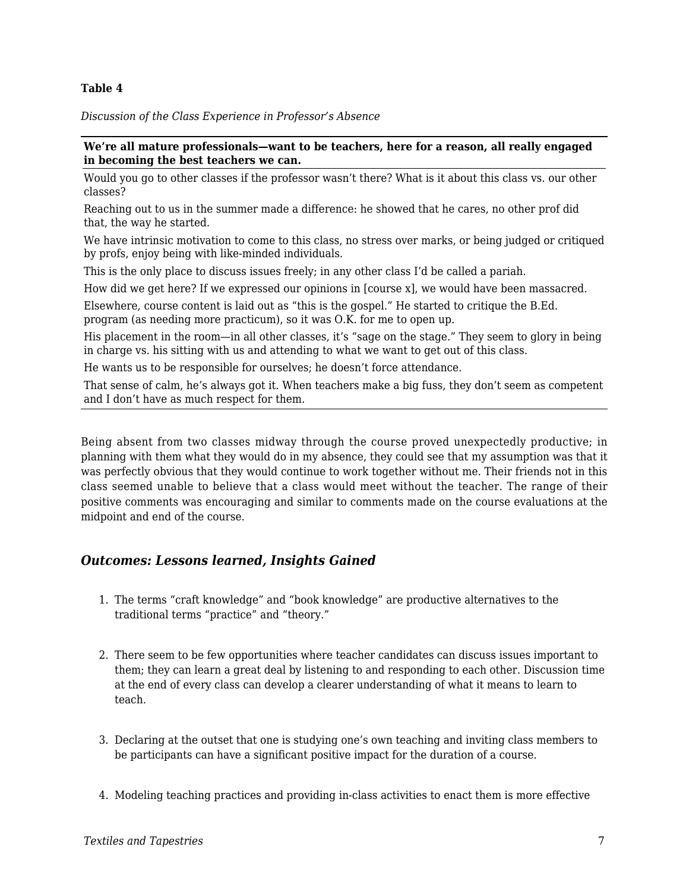#### **Table 4**

*Discussion of the Class Experience in Professor's Absence*

#### **We're all mature professionals—want to be teachers, here for a reason, all really engaged in becoming the best teachers we can.**

Would you go to other classes if the professor wasn't there? What is it about this class vs. our other classes?

Reaching out to us in the summer made a difference: he showed that he cares, no other prof did that, the way he started.

We have intrinsic motivation to come to this class, no stress over marks, or being judged or critiqued by profs, enjoy being with like-minded individuals.

This is the only place to discuss issues freely; in any other class I'd be called a pariah.

How did we get here? If we expressed our opinions in [course x], we would have been massacred.

Elsewhere, course content is laid out as "this is the gospel." He started to critique the B.Ed. program (as needing more practicum), so it was O.K. for me to open up.

His placement in the room—in all other classes, it's "sage on the stage." They seem to glory in being in charge vs. his sitting with us and attending to what we want to get out of this class.

He wants us to be responsible for ourselves; he doesn't force attendance.

That sense of calm, he's always got it. When teachers make a big fuss, they don't seem as competent and I don't have as much respect for them.

Being absent from two classes midway through the course proved unexpectedly productive; in planning with them what they would do in my absence, they could see that my assumption was that it was perfectly obvious that they would continue to work together without me. Their friends not in this class seemed unable to believe that a class would meet without the teacher. The range of their positive comments was encouraging and similar to comments made on the course evaluations at the midpoint and end of the course.

### *Outcomes: Lessons learned, Insights Gained*

- 1. The terms "craft knowledge" and "book knowledge" are productive alternatives to the traditional terms "practice" and "theory."
- 2. There seem to be few opportunities where teacher candidates can discuss issues important to them; they can learn a great deal by listening to and responding to each other. Discussion time at the end of every class can develop a clearer understanding of what it means to learn to teach.
- 3. Declaring at the outset that one is studying one's own teaching and inviting class members to be participants can have a significant positive impact for the duration of a course.
- 4. Modeling teaching practices and providing in-class activities to enact them is more effective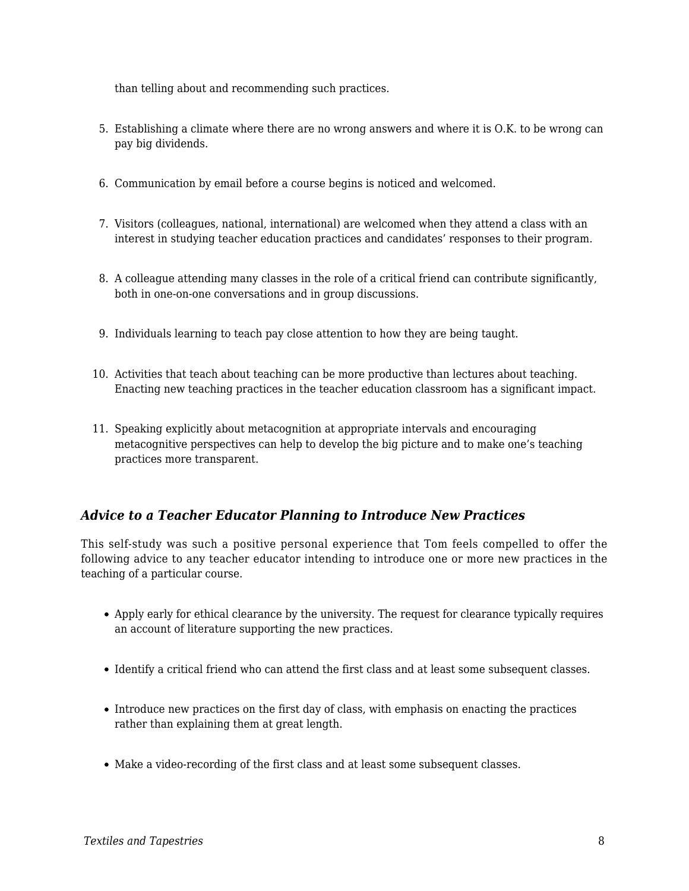than telling about and recommending such practices.

- 5. Establishing a climate where there are no wrong answers and where it is O.K. to be wrong can pay big dividends.
- 6. Communication by email before a course begins is noticed and welcomed.
- 7. Visitors (colleagues, national, international) are welcomed when they attend a class with an interest in studying teacher education practices and candidates' responses to their program.
- 8. A colleague attending many classes in the role of a critical friend can contribute significantly, both in one-on-one conversations and in group discussions.
- 9. Individuals learning to teach pay close attention to how they are being taught.
- 10. Activities that teach about teaching can be more productive than lectures about teaching. Enacting new teaching practices in the teacher education classroom has a significant impact.
- 11. Speaking explicitly about metacognition at appropriate intervals and encouraging metacognitive perspectives can help to develop the big picture and to make one's teaching practices more transparent.

### *Advice to a Teacher Educator Planning to Introduce New Practices*

This self-study was such a positive personal experience that Tom feels compelled to offer the following advice to any teacher educator intending to introduce one or more new practices in the teaching of a particular course.

- Apply early for ethical clearance by the university. The request for clearance typically requires an account of literature supporting the new practices.
- Identify a critical friend who can attend the first class and at least some subsequent classes.
- Introduce new practices on the first day of class, with emphasis on enacting the practices rather than explaining them at great length.
- Make a video-recording of the first class and at least some subsequent classes.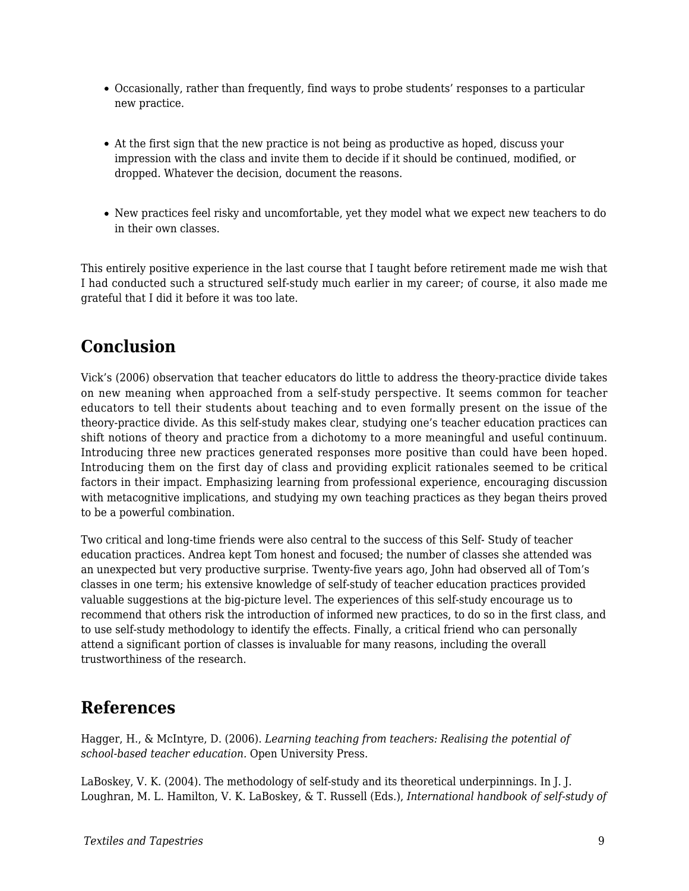- Occasionally, rather than frequently, find ways to probe students' responses to a particular new practice.
- At the first sign that the new practice is not being as productive as hoped, discuss your impression with the class and invite them to decide if it should be continued, modified, or dropped. Whatever the decision, document the reasons.
- New practices feel risky and uncomfortable, yet they model what we expect new teachers to do in their own classes.

This entirely positive experience in the last course that I taught before retirement made me wish that I had conducted such a structured self-study much earlier in my career; of course, it also made me grateful that I did it before it was too late.

# **Conclusion**

Vick's (2006) observation that teacher educators do little to address the theory-practice divide takes on new meaning when approached from a self-study perspective. It seems common for teacher educators to tell their students about teaching and to even formally present on the issue of the theory-practice divide. As this self-study makes clear, studying one's teacher education practices can shift notions of theory and practice from a dichotomy to a more meaningful and useful continuum. Introducing three new practices generated responses more positive than could have been hoped. Introducing them on the first day of class and providing explicit rationales seemed to be critical factors in their impact. Emphasizing learning from professional experience, encouraging discussion with metacognitive implications, and studying my own teaching practices as they began theirs proved to be a powerful combination.

Two critical and long-time friends were also central to the success of this Self- Study of teacher education practices. Andrea kept Tom honest and focused; the number of classes she attended was an unexpected but very productive surprise. Twenty-five years ago, John had observed all of Tom's classes in one term; his extensive knowledge of self-study of teacher education practices provided valuable suggestions at the big-picture level. The experiences of this self-study encourage us to recommend that others risk the introduction of informed new practices, to do so in the first class, and to use self-study methodology to identify the effects. Finally, a critical friend who can personally attend a significant portion of classes is invaluable for many reasons, including the overall trustworthiness of the research.

## **References**

Hagger, H., & McIntyre, D. (2006). *Learning teaching from teachers: Realising the potential of school-based teacher education.* Open University Press.

LaBoskey, V. K. (2004). The methodology of self-study and its theoretical underpinnings. In J. J. Loughran, M. L. Hamilton, V. K. LaBoskey, & T. Russell (Eds.), *International handbook of self-study of*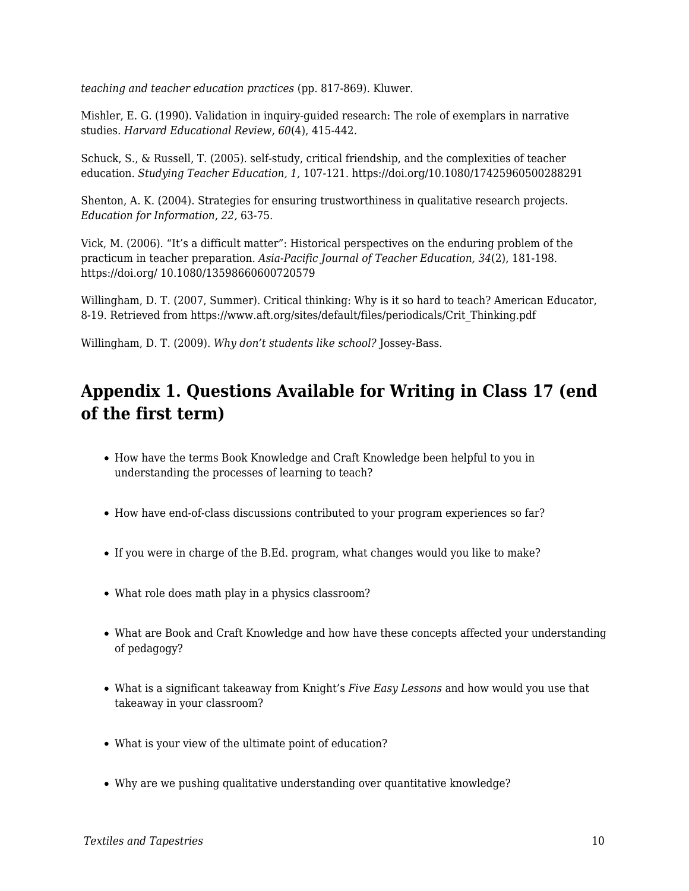*teaching and teacher education practices* (pp. 817-869). Kluwer.

Mishler, E. G. (1990). Validation in inquiry-guided research: The role of exemplars in narrative studies. *Harvard Educational Review, 60*(4), 415-442.

Schuck, S., & Russell, T. (2005). self-study, critical friendship, and the complexities of teacher education. *Studying Teacher Education, 1,* 107-121. https://doi.org/10.1080/17425960500288291

Shenton, A. K. (2004). Strategies for ensuring trustworthiness in qualitative research projects. *Education for Information, 22,* 63-75.

Vick, M. (2006). "It's a difficult matter": Historical perspectives on the enduring problem of the practicum in teacher preparation. *Asia-Pacific Journal of Teacher Education, 34*(2), 181-198. https://doi.org/ 10.1080/13598660600720579

Willingham, D. T. (2007, Summer). Critical thinking: Why is it so hard to teach? American Educator, 8-19. Retrieved from https://www.aft.org/sites/default/files/periodicals/Crit\_Thinking.pdf

Willingham, D. T. (2009). *Why don't students like school?* Jossey-Bass.

# **Appendix 1. Questions Available for Writing in Class 17 (end of the first term)**

- How have the terms Book Knowledge and Craft Knowledge been helpful to you in understanding the processes of learning to teach?
- How have end-of-class discussions contributed to your program experiences so far?
- If you were in charge of the B.Ed. program, what changes would you like to make?
- What role does math play in a physics classroom?
- What are Book and Craft Knowledge and how have these concepts affected your understanding of pedagogy?
- What is a significant takeaway from Knight's *Five Easy Lessons* and how would you use that takeaway in your classroom?
- What is your view of the ultimate point of education?
- Why are we pushing qualitative understanding over quantitative knowledge?